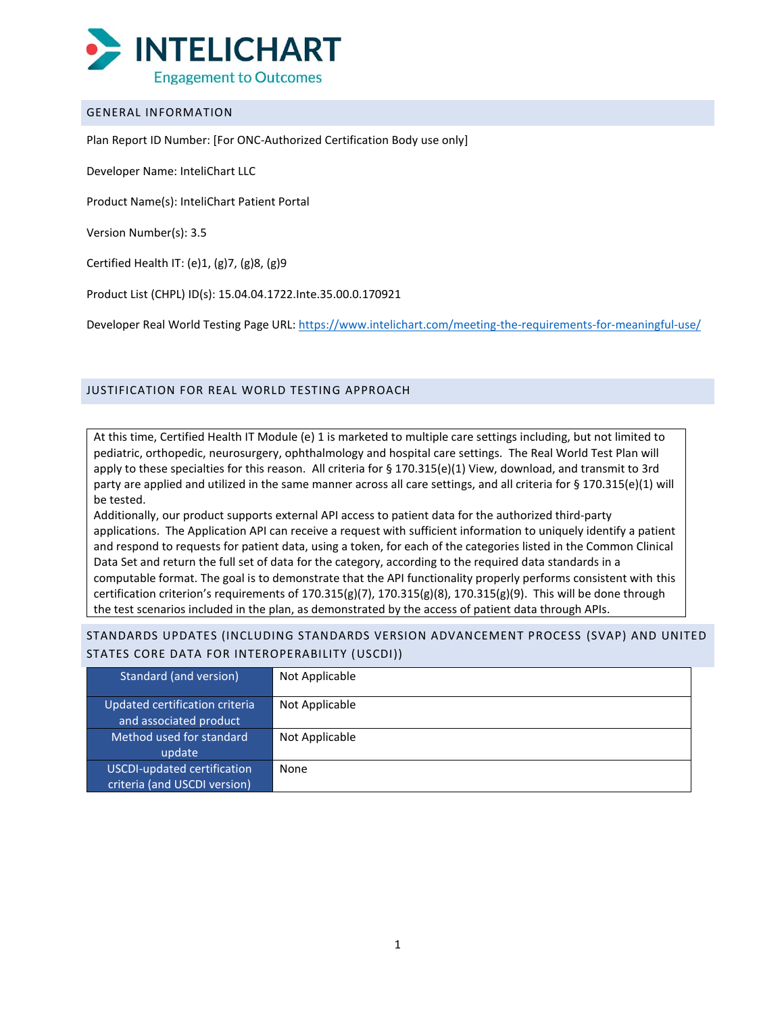

### GENERAL INFORMATION

Plan Report ID Number: [For ONC-Authorized Certification Body use only]

Developer Name: InteliChart LLC

Product Name(s): InteliChart Patient Portal

Version Number(s): 3.5

Certified Health IT: (e)1, (g)7, (g)8, (g)9

Product List (CHPL) ID(s): 15.04.04.1722.Inte.35.00.0.170921

Developer Real World Testing Page URL: [https://www.intelichart.com/meeting-the-requirements-for-meaningful-use/](https://nam02.safelinks.protection.outlook.com/?url=https%3A%2F%2Fwww.intelichart.com%2Fmeeting-the-requirements-for-meaningful-use%2F&data=04%7C01%7Cmbutson%40intelichart.com%7C3fc5eeabd6c84d45a45208d9a6088eef%7C0f48d64b05e74d6d9d703678fdfb55b5%7C0%7C0%7C637723377997621743%7CUnknown%7CTWFpbGZsb3d8eyJWIjoiMC4wLjAwMDAiLCJQIjoiV2luMzIiLCJBTiI6Ik1haWwiLCJXVCI6Mn0%3D%7C1000&sdata=5rIhcIYTC%2FCh3zFfOyvtudR7dCAZIsjmobao0JTNc80%3D&reserved=0)

## JUSTIFICATION FOR REAL WORLD TESTING APPROACH

At this time, Certified Health IT Module (e) 1 is marketed to multiple care settings including, but not limited to pediatric, orthopedic, neurosurgery, ophthalmology and hospital care settings. The Real World Test Plan will apply to these specialties for this reason. All criteria for § 170.315(e)(1) View, download, and transmit to 3rd party are applied and utilized in the same manner across all care settings, and all criteria for § 170.315(e)(1) will be tested.

Additionally, our product supports external API access to patient data for the authorized third-party applications. The Application API can receive a request with sufficient information to uniquely identify a patient and respond to requests for patient data, using a token, for each of the categories listed in the Common Clinical Data Set and return the full set of data for the category, according to the required data standards in a computable format. The goal is to demonstrate that the API functionality properly performs consistent with this certification criterion's requirements of  $170.315(g)(7)$ ,  $170.315(g)(8)$ ,  $170.315(g)(9)$ . This will be done through the test scenarios included in the plan, as demonstrated by the access of patient data through APIs.

STANDARDS UPDATES (INCLUDING STANDARDS VERSION ADVANCEMENT PROCESS (SVAP) AND UNITED STATES CORE DATA FOR INTEROPERABILITY (USCDI))

| Standard (and version)                                   | Not Applicable |
|----------------------------------------------------------|----------------|
| Updated certification criteria<br>and associated product | Not Applicable |
| Method used for standard                                 | Not Applicable |
| update                                                   |                |
| <b>USCDI-updated certification</b>                       | None           |
| criteria (and USCDI version)                             |                |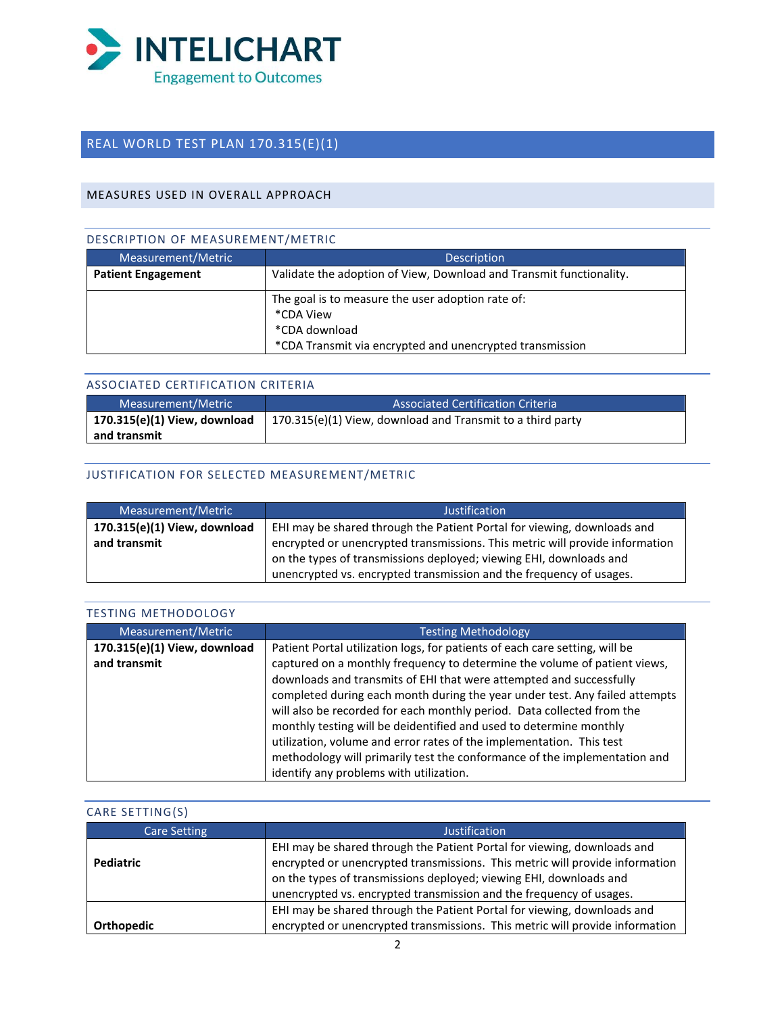

## REAL WORLD TEST PLAN 170.315(E)(1)

## MEASURES USED IN OVERALL APPROACH

## DESCRIPTION OF MEASUREMENT/METRIC

| Measurement/Metric        | <b>Description</b>                                                                                                                          |
|---------------------------|---------------------------------------------------------------------------------------------------------------------------------------------|
| <b>Patient Engagement</b> | Validate the adoption of View, Download and Transmit functionality.                                                                         |
|                           | The goal is to measure the user adoption rate of:<br>*CDA View<br>*CDA download<br>*CDA Transmit via encrypted and unencrypted transmission |

## ASSOCIATED CERTIFICATION CRITERIA

| Measurement/Metric           | <b>Associated Certification Criteria</b>                   |
|------------------------------|------------------------------------------------------------|
| 170.315(e)(1) View, download | 170.315(e)(1) View, download and Transmit to a third party |
| and transmit                 |                                                            |

## JUSTIFICATION FOR SELECTED MEASUREMENT/METRIC

| Measurement/Metric                           | Justification                                                                                                                                           |
|----------------------------------------------|---------------------------------------------------------------------------------------------------------------------------------------------------------|
| 170.315(e)(1) View, download<br>and transmit | EHI may be shared through the Patient Portal for viewing, downloads and<br>encrypted or unencrypted transmissions. This metric will provide information |
|                                              | on the types of transmissions deployed; viewing EHI, downloads and<br>unencrypted vs. encrypted transmission and the frequency of usages.               |

| <b>TESTING METHODOLOGY</b>                   |                                                                                                                                                                                                                                                                                                                                                                                                                                                                                                                                                                                                                                                                |
|----------------------------------------------|----------------------------------------------------------------------------------------------------------------------------------------------------------------------------------------------------------------------------------------------------------------------------------------------------------------------------------------------------------------------------------------------------------------------------------------------------------------------------------------------------------------------------------------------------------------------------------------------------------------------------------------------------------------|
| Measurement/Metric                           | <b>Testing Methodology</b>                                                                                                                                                                                                                                                                                                                                                                                                                                                                                                                                                                                                                                     |
| 170.315(e)(1) View, download<br>and transmit | Patient Portal utilization logs, for patients of each care setting, will be<br>captured on a monthly frequency to determine the volume of patient views,<br>downloads and transmits of EHI that were attempted and successfully<br>completed during each month during the year under test. Any failed attempts<br>will also be recorded for each monthly period. Data collected from the<br>monthly testing will be deidentified and used to determine monthly<br>utilization, volume and error rates of the implementation. This test<br>methodology will primarily test the conformance of the implementation and<br>identify any problems with utilization. |

## CARE SETTING(S)

| Care Setting      | Justification                                                                                                                                                                                                                                                                                        |
|-------------------|------------------------------------------------------------------------------------------------------------------------------------------------------------------------------------------------------------------------------------------------------------------------------------------------------|
| <b>Pediatric</b>  | EHI may be shared through the Patient Portal for viewing, downloads and<br>encrypted or unencrypted transmissions. This metric will provide information<br>on the types of transmissions deployed; viewing EHI, downloads and<br>unencrypted vs. encrypted transmission and the frequency of usages. |
| <b>Orthopedic</b> | EHI may be shared through the Patient Portal for viewing, downloads and<br>encrypted or unencrypted transmissions. This metric will provide information                                                                                                                                              |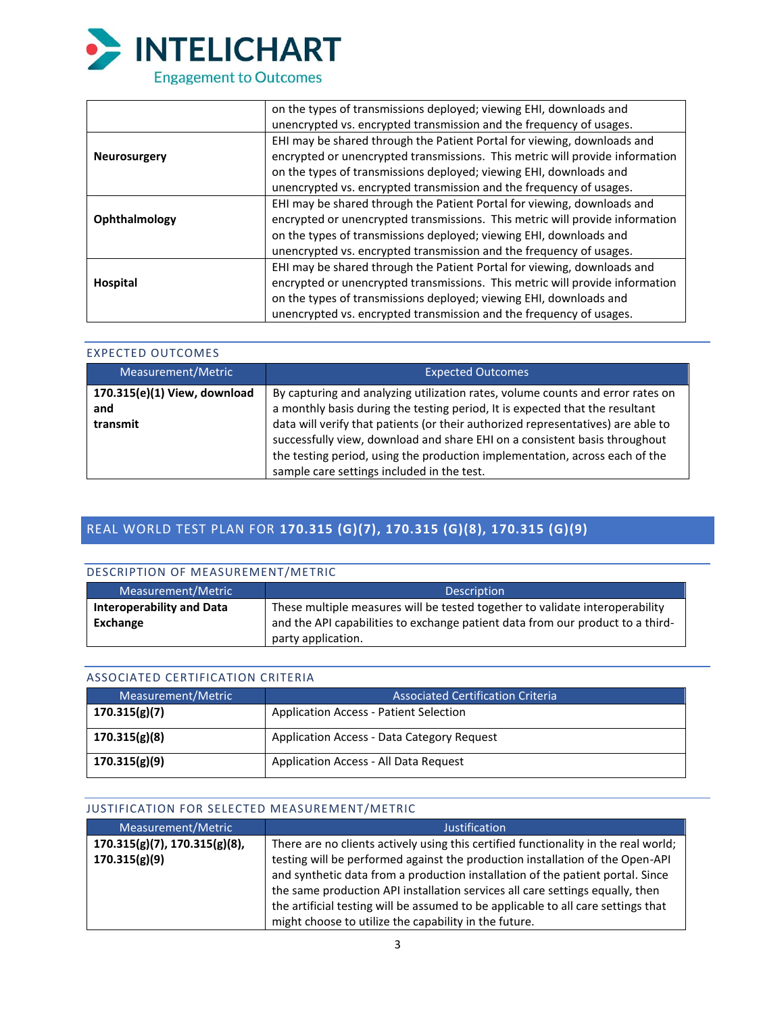

|                     | on the types of transmissions deployed; viewing EHI, downloads and           |
|---------------------|------------------------------------------------------------------------------|
|                     | unencrypted vs. encrypted transmission and the frequency of usages.          |
|                     | EHI may be shared through the Patient Portal for viewing, downloads and      |
| <b>Neurosurgery</b> | encrypted or unencrypted transmissions. This metric will provide information |
|                     | on the types of transmissions deployed; viewing EHI, downloads and           |
|                     | unencrypted vs. encrypted transmission and the frequency of usages.          |
|                     | EHI may be shared through the Patient Portal for viewing, downloads and      |
| Ophthalmology       | encrypted or unencrypted transmissions. This metric will provide information |
|                     | on the types of transmissions deployed; viewing EHI, downloads and           |
|                     | unencrypted vs. encrypted transmission and the frequency of usages.          |
|                     | EHI may be shared through the Patient Portal for viewing, downloads and      |
| Hospital            | encrypted or unencrypted transmissions. This metric will provide information |
|                     | on the types of transmissions deployed; viewing EHI, downloads and           |
|                     | unencrypted vs. encrypted transmission and the frequency of usages.          |

## EXPECTED OUTCOMES

| Measurement/Metric                              | <b>Expected Outcomes</b>                                                                                                                                                                                                                                                                                                                                                                                                                                      |
|-------------------------------------------------|---------------------------------------------------------------------------------------------------------------------------------------------------------------------------------------------------------------------------------------------------------------------------------------------------------------------------------------------------------------------------------------------------------------------------------------------------------------|
| 170.315(e)(1) View, download<br>and<br>transmit | By capturing and analyzing utilization rates, volume counts and error rates on<br>a monthly basis during the testing period, It is expected that the resultant<br>data will verify that patients (or their authorized representatives) are able to<br>successfully view, download and share EHI on a consistent basis throughout<br>the testing period, using the production implementation, across each of the<br>sample care settings included in the test. |

## REAL WORLD TEST PLAN FOR **170.315 (G)(7), 170.315 (G)(8), 170.315 (G)(9)**

## DESCRIPTION OF MEASUREMENT/METRIC

| Measurement/Metric               | <b>Description</b>                                                             |
|----------------------------------|--------------------------------------------------------------------------------|
| <b>Interoperability and Data</b> | These multiple measures will be tested together to validate interoperability   |
| Exchange                         | and the API capabilities to exchange patient data from our product to a third- |
|                                  | party application.                                                             |

#### ASSOCIATED CERTIFICATION CRITERIA

| Measurement/Metric | <b>Associated Certification Criteria</b>      |
|--------------------|-----------------------------------------------|
| 170.315(g)(7)      | <b>Application Access - Patient Selection</b> |
| 170.315(g)(8)      | Application Access - Data Category Request    |
| 170.315(g)(9)      | Application Access - All Data Request         |

## JUSTIFICATION FOR SELECTED MEASUREMENT/METRIC

| Measurement/Metric                  | <b>Justification</b>                                                                |
|-------------------------------------|-------------------------------------------------------------------------------------|
| $170.315(g)(7)$ , $170.315(g)(8)$ , | There are no clients actively using this certified functionality in the real world; |
| 170.315(g)(9)                       | testing will be performed against the production installation of the Open-API       |
|                                     | and synthetic data from a production installation of the patient portal. Since      |
|                                     | the same production API installation services all care settings equally, then       |
|                                     | the artificial testing will be assumed to be applicable to all care settings that   |
|                                     | might choose to utilize the capability in the future.                               |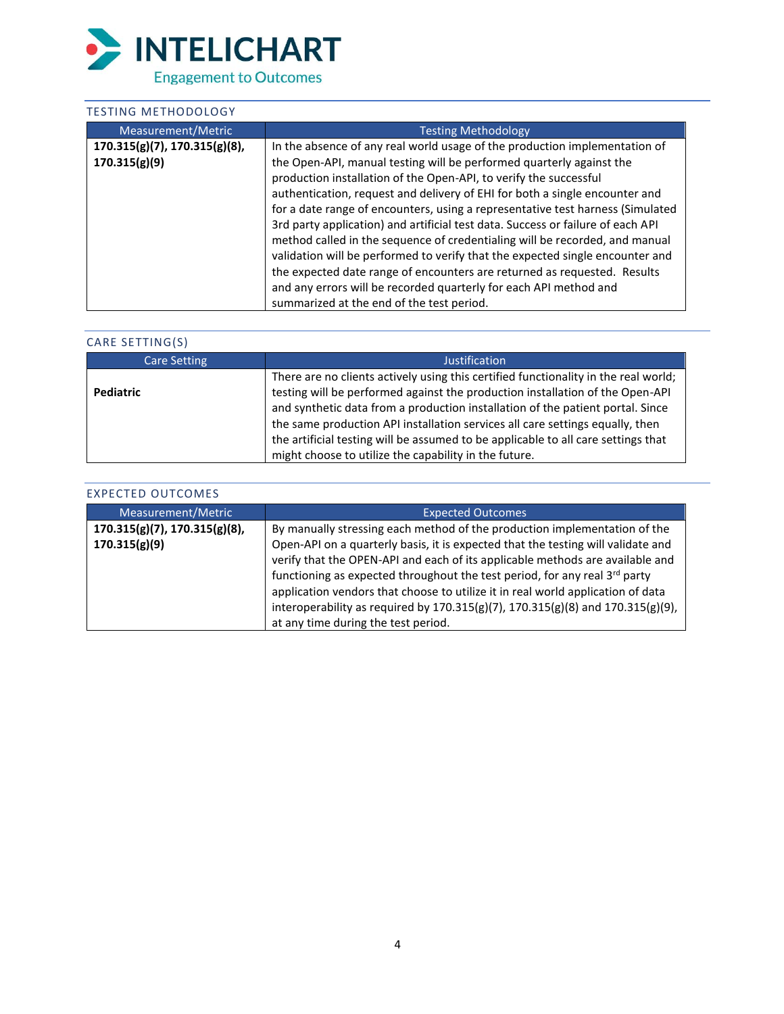

## TESTING METHODOLOGY

| Measurement/Metric                  | <b>Testing Methodology</b>                                                      |
|-------------------------------------|---------------------------------------------------------------------------------|
| $170.315(g)(7)$ , $170.315(g)(8)$ , | In the absence of any real world usage of the production implementation of      |
| 170.315(g)(9)                       | the Open-API, manual testing will be performed quarterly against the            |
|                                     | production installation of the Open-API, to verify the successful               |
|                                     | authentication, request and delivery of EHI for both a single encounter and     |
|                                     | for a date range of encounters, using a representative test harness (Simulated  |
|                                     | 3rd party application) and artificial test data. Success or failure of each API |
|                                     | method called in the sequence of credentialing will be recorded, and manual     |
|                                     | validation will be performed to verify that the expected single encounter and   |
|                                     | the expected date range of encounters are returned as requested. Results        |
|                                     | and any errors will be recorded quarterly for each API method and               |
|                                     | summarized at the end of the test period.                                       |

| CARE SETTING(S)     |                                                                                                                                                                                                                                                                                                                                                                                                                                                                                       |
|---------------------|---------------------------------------------------------------------------------------------------------------------------------------------------------------------------------------------------------------------------------------------------------------------------------------------------------------------------------------------------------------------------------------------------------------------------------------------------------------------------------------|
| <b>Care Setting</b> | Justification                                                                                                                                                                                                                                                                                                                                                                                                                                                                         |
| <b>Pediatric</b>    | There are no clients actively using this certified functionality in the real world;<br>testing will be performed against the production installation of the Open-API<br>and synthetic data from a production installation of the patient portal. Since<br>the same production API installation services all care settings equally, then<br>the artificial testing will be assumed to be applicable to all care settings that<br>might choose to utilize the capability in the future. |

| <b>EXPECTED OUTCOMES</b>            |                                                                                                                                                                                                                                                                                                                                                                                                                                                                                  |
|-------------------------------------|----------------------------------------------------------------------------------------------------------------------------------------------------------------------------------------------------------------------------------------------------------------------------------------------------------------------------------------------------------------------------------------------------------------------------------------------------------------------------------|
| Measurement/Metric                  | <b>Expected Outcomes</b>                                                                                                                                                                                                                                                                                                                                                                                                                                                         |
| $170.315(g)(7)$ , $170.315(g)(8)$ , | By manually stressing each method of the production implementation of the                                                                                                                                                                                                                                                                                                                                                                                                        |
| 170.315(g)(9)                       | Open-API on a quarterly basis, it is expected that the testing will validate and<br>verify that the OPEN-API and each of its applicable methods are available and<br>functioning as expected throughout the test period, for any real 3 <sup>rd</sup> party<br>application vendors that choose to utilize it in real world application of data<br>interoperability as required by $170.315(g)(7)$ , $170.315(g)(8)$ and $170.315(g)(9)$ ,<br>at any time during the test period. |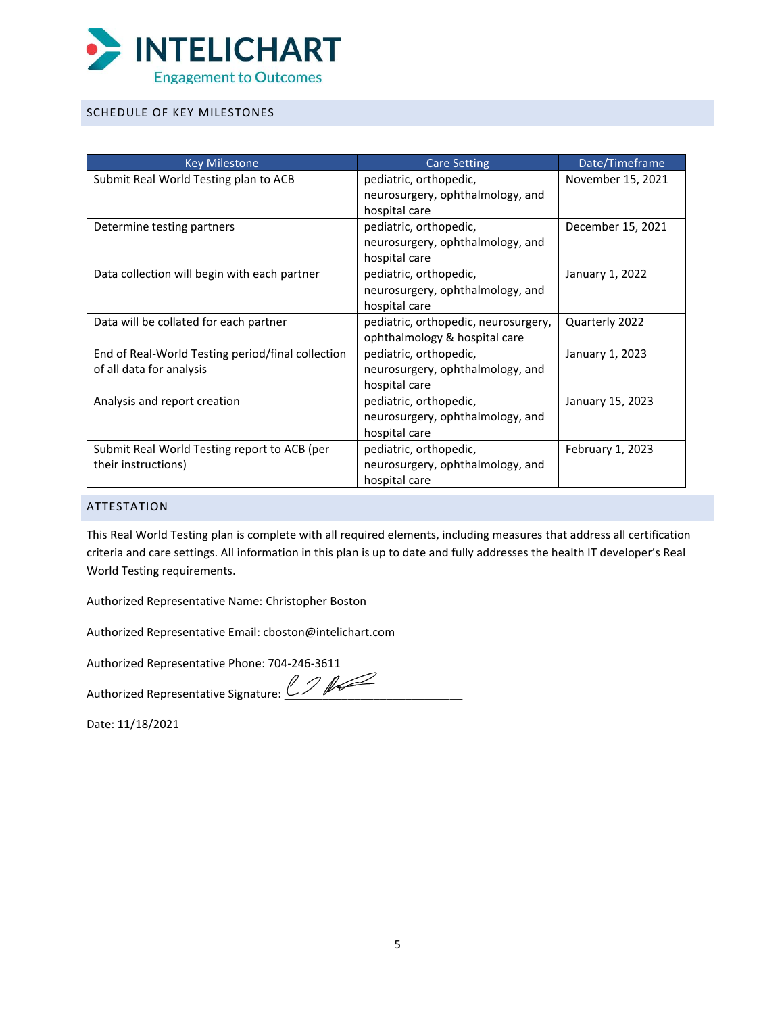

## SCHEDULE OF KEY MILESTONES

| <b>Key Milestone</b>                              | <b>Care Setting</b>                  | Date/Timeframe    |
|---------------------------------------------------|--------------------------------------|-------------------|
| Submit Real World Testing plan to ACB             | pediatric, orthopedic,               | November 15, 2021 |
|                                                   | neurosurgery, ophthalmology, and     |                   |
|                                                   | hospital care                        |                   |
| Determine testing partners                        | pediatric, orthopedic,               | December 15, 2021 |
|                                                   | neurosurgery, ophthalmology, and     |                   |
|                                                   | hospital care                        |                   |
| Data collection will begin with each partner      | pediatric, orthopedic,               | January 1, 2022   |
|                                                   | neurosurgery, ophthalmology, and     |                   |
|                                                   | hospital care                        |                   |
| Data will be collated for each partner            | pediatric, orthopedic, neurosurgery, | Quarterly 2022    |
|                                                   | ophthalmology & hospital care        |                   |
| End of Real-World Testing period/final collection | pediatric, orthopedic,               | January 1, 2023   |
| of all data for analysis                          | neurosurgery, ophthalmology, and     |                   |
|                                                   | hospital care                        |                   |
| Analysis and report creation                      | pediatric, orthopedic,               | January 15, 2023  |
|                                                   | neurosurgery, ophthalmology, and     |                   |
|                                                   | hospital care                        |                   |
| Submit Real World Testing report to ACB (per      | pediatric, orthopedic,               | February 1, 2023  |
| their instructions)                               | neurosurgery, ophthalmology, and     |                   |
|                                                   | hospital care                        |                   |

### ATTESTATION

This Real World Testing plan is complete with all required elements, including measures that address all certification criteria and care settings. All information in this plan is up to date and fully addresses the health IT developer's Real World Testing requirements.

Authorized Representative Name: Christopher Boston

Authorized Representative Email: cboston@intelichart.com

Authorized Representative Phone: 704-246-3611

Authorized Representative Signature: [\\_\\_\\_\\_\\_\\_\\_\\_\\_\\_\\_\\_\\_\\_\\_\\_\\_\\_\\_\\_\\_\\_\\_\\_\\_\\_\\_\\_](https://na1.documents.adobe.com/verifier?tx=CBJCHBCAABAASNjUU6fBh27x4oE-743H5CEbwcC4RNGI)

Date: 11/18/2021